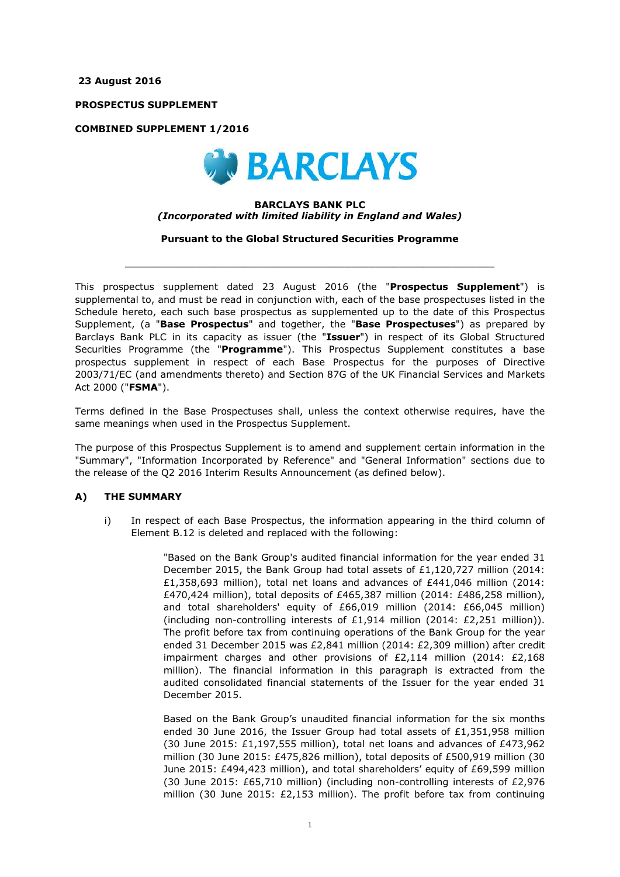**23 August 2016**

**PROSPECTUS SUPPLEMENT**

**COMBINED SUPPLEMENT 1/2016**



#### **BARCLAYS BANK PLC** *(Incorporated with limited liability in England and Wales)*

**Pursuant to the Global Structured Securities Programme**

 $\_$  ,  $\_$  ,  $\_$  ,  $\_$  ,  $\_$  ,  $\_$  ,  $\_$  ,  $\_$  ,  $\_$  ,  $\_$  ,  $\_$  ,  $\_$  ,  $\_$  ,  $\_$  ,  $\_$  ,  $\_$  ,  $\_$  ,  $\_$  ,  $\_$  ,  $\_$  ,  $\_$  ,  $\_$  ,  $\_$  ,  $\_$  ,  $\_$  ,  $\_$  ,  $\_$  ,  $\_$  ,  $\_$  ,  $\_$  ,  $\_$  ,  $\_$  ,  $\_$  ,  $\_$  ,  $\_$  ,  $\_$  ,  $\_$  ,

This prospectus supplement dated 23 August 2016 (the "**Prospectus Supplement**") is supplemental to, and must be read in conjunction with, each of the base prospectuses listed in the Schedule hereto, each such base prospectus as supplemented up to the date of this Prospectus Supplement, (a "**Base Prospectus**" and together, the "**Base Prospectuses**") as prepared by Barclays Bank PLC in its capacity as issuer (the "**Issuer**") in respect of its Global Structured Securities Programme (the "**Programme**"). This Prospectus Supplement constitutes a base prospectus supplement in respect of each Base Prospectus for the purposes of Directive 2003/71/EC (and amendments thereto) and Section 87G of the UK Financial Services and Markets Act 2000 ("**FSMA**").

Terms defined in the Base Prospectuses shall, unless the context otherwise requires, have the same meanings when used in the Prospectus Supplement.

The purpose of this Prospectus Supplement is to amend and supplement certain information in the "Summary", "Information Incorporated by Reference" and "General Information" sections due to the release of the Q2 2016 Interim Results Announcement (as defined below).

### **A) THE SUMMARY**

i) In respect of each Base Prospectus, the information appearing in the third column of Element B.12 is deleted and replaced with the following:

> "Based on the Bank Group's audited financial information for the year ended 31 December 2015, the Bank Group had total assets of £1,120,727 million (2014: £1,358,693 million), total net loans and advances of £441,046 million (2014: £470,424 million), total deposits of £465,387 million (2014: £486,258 million), and total shareholders' equity of £66,019 million (2014: £66,045 million) (including non-controlling interests of £1,914 million (2014: £2,251 million)). The profit before tax from continuing operations of the Bank Group for the year ended 31 December 2015 was £2,841 million (2014: £2,309 million) after credit impairment charges and other provisions of  $E2,114$  million (2014:  $E2,168$ ) million). The financial information in this paragraph is extracted from the audited consolidated financial statements of the Issuer for the year ended 31 December 2015.

> Based on the Bank Group's unaudited financial information for the six months ended 30 June 2016, the Issuer Group had total assets of £1,351,958 million (30 June 2015:  $£1,197,555$  million), total net loans and advances of  $£473,962$ million (30 June 2015: £475,826 million), total deposits of £500,919 million (30 June 2015: £494,423 million), and total shareholders' equity of £69,599 million (30 June 2015: £65,710 million) (including non-controlling interests of £2,976 million (30 June 2015: £2,153 million). The profit before tax from continuing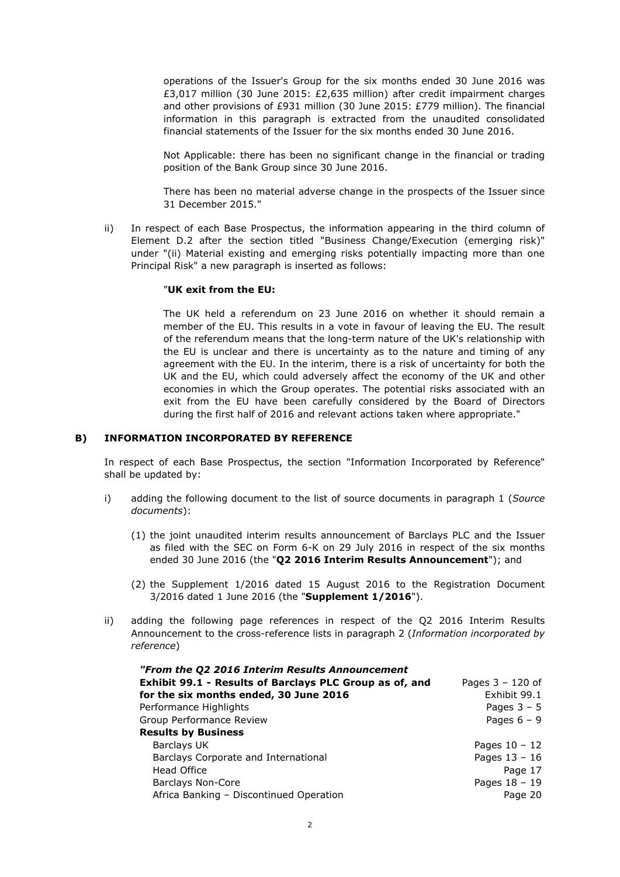operations of the Issuer's Group for the six months ended 30 June 2016 was £3,017 million (30 June 2015: £2,635 million) after credit impairment charges and other provisions of £931 million (30 June 2015: £779 million). The financial information in this paragraph is extracted from the unaudited consolidated financial statements of the Issuer for the six months ended 30 June 2016.

Not Applicable: there has been no significant change in the financial or trading position of the Bank Group since 30 June 2016.

There has been no material adverse change in the prospects of the Issuer since 31 December 2015."

ii) In respect of each Base Prospectus, the information appearing in the third column of Element D.2 after the section titled "Business Change/Execution (emerging risk)" under "(ii) Material existing and emerging risks potentially impacting more than one Principal Risk" a new paragraph is inserted as follows:

#### "**UK exit from the EU:**

The UK held a referendum on 23 June 2016 on whether it should remain a member of the EU. This results in a vote in favour of leaving the EU. The result of the referendum means that the long-term nature of the UK's relationship with the EU is unclear and there is uncertainty as to the nature and timing of any agreement with the EU. In the interim, there is a risk of uncertainty for both the UK and the EU, which could adversely affect the economy of the UK and other economies in which the Group operates. The potential risks associated with an exit from the EU have been carefully considered by the Board of Directors during the first half of 2016 and relevant actions taken where appropriate."

### **B) INFORMATION INCORPORATED BY REFERENCE**

In respect of each Base Prospectus, the section "Information Incorporated by Reference" shall be updated by:

- i) adding the following document to the list of source documents in paragraph 1 (*Source documents*):
	- (1) the joint unaudited interim results announcement of Barclays PLC and the Issuer as filed with the SEC on Form 6-K on 29 July 2016 in respect of the six months ended 30 June 2016 (the "**Q2 2016 Interim Results Announcement**"); and
	- (2) the Supplement 1/2016 dated 15 August 2016 to the Registration Document 3/2016 dated 1 June 2016 (the "**Supplement 1/2016**").
- ii) adding the following page references in respect of the Q2 2016 Interim Results Announcement to the cross-reference lists in paragraph 2 (*Information incorporated by reference*)

| "From the Q2 2016 Interim Results Announcement          |                    |
|---------------------------------------------------------|--------------------|
| Exhibit 99.1 - Results of Barclays PLC Group as of, and | Pages $3 - 120$ of |
| for the six months ended, 30 June 2016                  | Exhibit 99.1       |
| Performance Highlights                                  | Pages $3 - 5$      |
| Group Performance Review                                | Pages $6 - 9$      |
| <b>Results by Business</b>                              |                    |
| Barclays UK                                             | Pages $10 - 12$    |
| Barclays Corporate and International                    | Pages $13 - 16$    |
| Head Office                                             | Page 17            |
| <b>Barclays Non-Core</b>                                | Pages $18 - 19$    |
| Africa Banking - Discontinued Operation                 | Page 20            |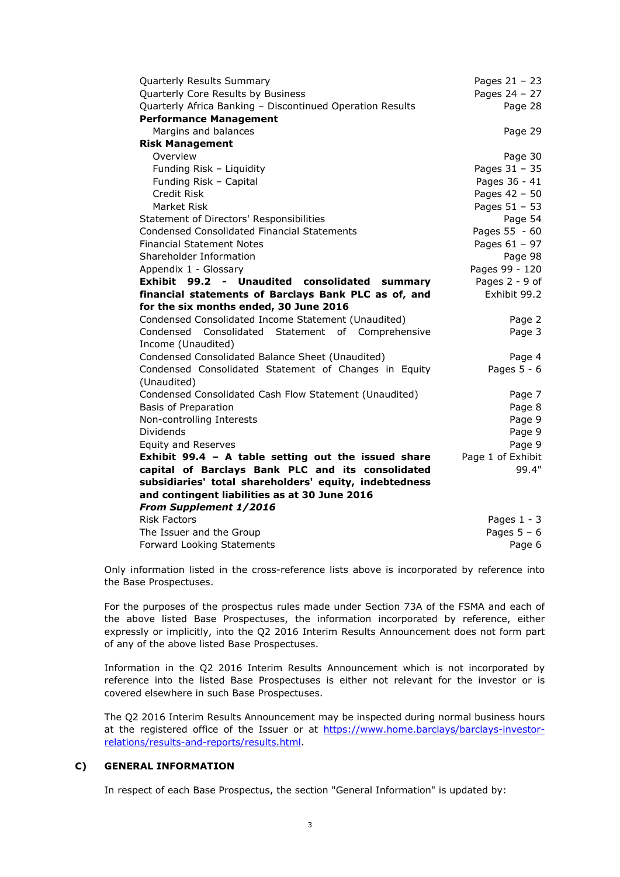| Quarterly Results Summary                                 | Pages 21 - 23     |
|-----------------------------------------------------------|-------------------|
| Quarterly Core Results by Business                        | Pages 24 - 27     |
| Quarterly Africa Banking - Discontinued Operation Results | Page 28           |
| <b>Performance Management</b>                             |                   |
| Margins and balances                                      | Page 29           |
| <b>Risk Management</b>                                    |                   |
| Overview                                                  | Page 30           |
| Funding Risk - Liquidity                                  | Pages 31 - 35     |
| Funding Risk - Capital                                    | Pages 36 - 41     |
| Credit Risk                                               | Pages 42 - 50     |
| Market Risk                                               | Pages 51 - 53     |
| Statement of Directors' Responsibilities                  | Page 54           |
| <b>Condensed Consolidated Financial Statements</b>        | Pages 55 - 60     |
| <b>Financial Statement Notes</b>                          | Pages $61 - 97$   |
| Shareholder Information                                   | Page 98           |
| Appendix 1 - Glossary                                     | Pages 99 - 120    |
| Exhibit 99.2<br>- Unaudited consolidated<br>summary       | Pages 2 - 9 of    |
| financial statements of Barclays Bank PLC as of, and      | Exhibit 99.2      |
| for the six months ended, 30 June 2016                    |                   |
| Condensed Consolidated Income Statement (Unaudited)       | Page 2            |
| Condensed Consolidated Statement of Comprehensive         | Page 3            |
| Income (Unaudited)                                        |                   |
| Condensed Consolidated Balance Sheet (Unaudited)          | Page 4            |
| Condensed Consolidated Statement of Changes in Equity     | Pages $5 - 6$     |
| (Unaudited)                                               |                   |
| Condensed Consolidated Cash Flow Statement (Unaudited)    | Page 7            |
| <b>Basis of Preparation</b>                               | Page 8            |
| Non-controlling Interests                                 | Page 9            |
| Dividends                                                 | Page 9            |
| <b>Equity and Reserves</b>                                | Page 9            |
| Exhibit 99.4 - A table setting out the issued share       | Page 1 of Exhibit |
| capital of Barclays Bank PLC and its consolidated         | 99.4"             |
| subsidiaries' total shareholders' equity, indebtedness    |                   |
| and contingent liabilities as at 30 June 2016             |                   |
| From Supplement 1/2016                                    |                   |
| <b>Risk Factors</b>                                       | Pages $1 - 3$     |
| The Issuer and the Group                                  | Pages $5 - 6$     |
| Forward Looking Statements                                | Page 6            |

Only information listed in the cross-reference lists above is incorporated by reference into the Base Prospectuses.

For the purposes of the prospectus rules made under Section 73A of the FSMA and each of the above listed Base Prospectuses, the information incorporated by reference, either expressly or implicitly, into the Q2 2016 Interim Results Announcement does not form part of any of the above listed Base Prospectuses.

Information in the Q2 2016 Interim Results Announcement which is not incorporated by reference into the listed Base Prospectuses is either not relevant for the investor or is covered elsewhere in such Base Prospectuses.

The Q2 2016 Interim Results Announcement may be inspected during normal business hours [at the registered office of the Issuer or at https://www.home.barclays/barclays-investor](https://www.home.barclays/barclays-investor-relations/results-and-reports/results.html)relations/results-and-reports/results.html.

## **C) GENERAL INFORMATION**

In respect of each Base Prospectus, the section "General Information" is updated by: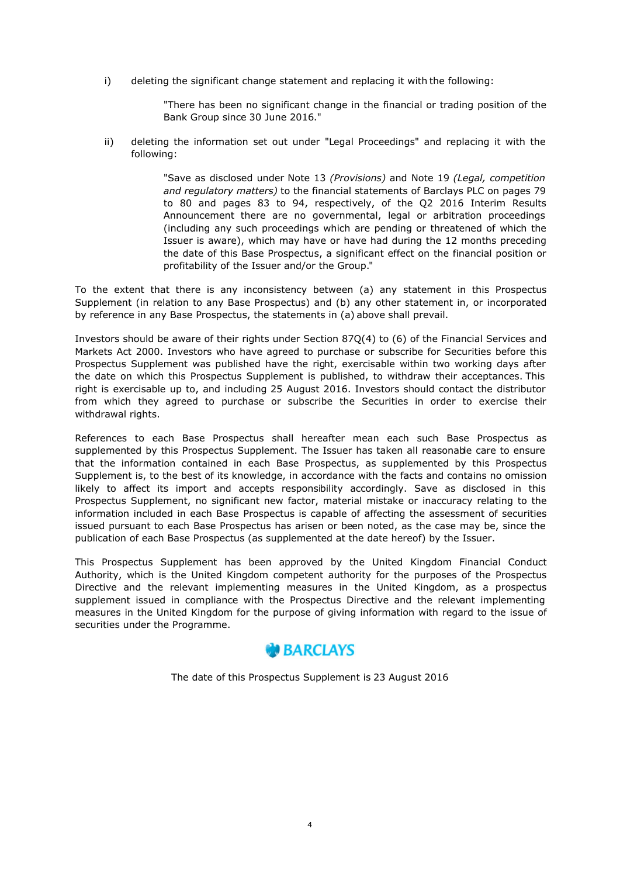i) deleting the significant change statement and replacing it with the following:

"There has been no significant change in the financial or trading position of the Bank Group since 30 June 2016."

ii) deleting the information set out under "Legal Proceedings" and replacing it with the following:

> "Save as disclosed under Note 13 *(Provisions)* and Note 19 *(Legal, competition and regulatory matters)* to the financial statements of Barclays PLC on pages 79 to 80 and pages 83 to 94, respectively, of the Q2 2016 Interim Results Announcement there are no governmental, legal or arbitration proceedings (including any such proceedings which are pending or threatened of which the Issuer is aware), which may have or have had during the 12 months preceding the date of this Base Prospectus, a significant effect on the financial position or profitability of the Issuer and/or the Group."

To the extent that there is any inconsistency between (a) any statement in this Prospectus Supplement (in relation to any Base Prospectus) and (b) any other statement in, or incorporated by reference in any Base Prospectus, the statements in (a) above shall prevail.

Investors should be aware of their rights under Section 87Q(4) to (6) of the Financial Services and Markets Act 2000. Investors who have agreed to purchase or subscribe for Securities before this Prospectus Supplement was published have the right, exercisable within two working days after the date on which this Prospectus Supplement is published, to withdraw their acceptances. This right is exercisable up to, and including 25 August 2016. Investors should contact the distributor from which they agreed to purchase or subscribe the Securities in order to exercise their withdrawal rights.

References to each Base Prospectus shall hereafter mean each such Base Prospectus as supplemented by this Prospectus Supplement. The Issuer has taken all reasonable care to ensure that the information contained in each Base Prospectus, as supplemented by this Prospectus Supplement is, to the best of its knowledge, in accordance with the facts and contains no omission likely to affect its import and accepts responsibility accordingly. Save as disclosed in this Prospectus Supplement, no significant new factor, material mistake or inaccuracy relating to the information included in each Base Prospectus is capable of affecting the assessment of securities issued pursuant to each Base Prospectus has arisen or been noted, as the case may be, since the publication of each Base Prospectus (as supplemented at the date hereof) by the Issuer.

This Prospectus Supplement has been approved by the United Kingdom Financial Conduct Authority, which is the United Kingdom competent authority for the purposes of the Prospectus Directive and the relevant implementing measures in the United Kingdom, as a prospectus supplement issued in compliance with the Prospectus Directive and the relevant implementing measures in the United Kingdom for the purpose of giving information with regard to the issue of securities under the Programme.



The date of this Prospectus Supplement is 23 August 2016